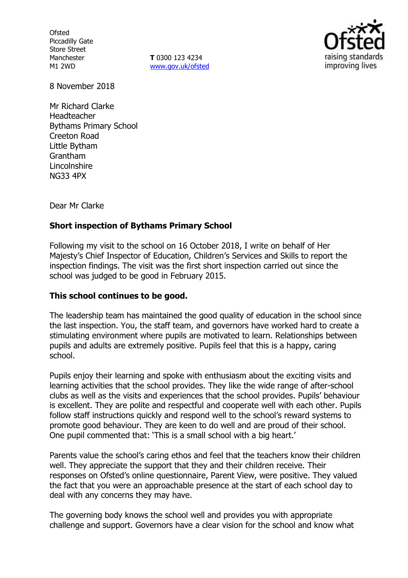**Ofsted** Piccadilly Gate Store Street Manchester M1 2WD

**T** 0300 123 4234 [www.gov.uk/ofsted](http://www.gov.uk/ofsted)



8 November 2018

Mr Richard Clarke Headteacher Bythams Primary School Creeton Road Little Bytham Grantham Lincolnshire NG33 4PX

Dear Mr Clarke

### **Short inspection of Bythams Primary School**

Following my visit to the school on 16 October 2018, I write on behalf of Her Majesty's Chief Inspector of Education, Children's Services and Skills to report the inspection findings. The visit was the first short inspection carried out since the school was judged to be good in February 2015.

### **This school continues to be good.**

The leadership team has maintained the good quality of education in the school since the last inspection. You, the staff team, and governors have worked hard to create a stimulating environment where pupils are motivated to learn. Relationships between pupils and adults are extremely positive. Pupils feel that this is a happy, caring school.

Pupils enjoy their learning and spoke with enthusiasm about the exciting visits and learning activities that the school provides. They like the wide range of after-school clubs as well as the visits and experiences that the school provides. Pupils' behaviour is excellent. They are polite and respectful and cooperate well with each other. Pupils follow staff instructions quickly and respond well to the school's reward systems to promote good behaviour. They are keen to do well and are proud of their school. One pupil commented that: 'This is a small school with a big heart.'

Parents value the school's caring ethos and feel that the teachers know their children well. They appreciate the support that they and their children receive. Their responses on Ofsted's online questionnaire, Parent View, were positive. They valued the fact that you were an approachable presence at the start of each school day to deal with any concerns they may have.

The governing body knows the school well and provides you with appropriate challenge and support. Governors have a clear vision for the school and know what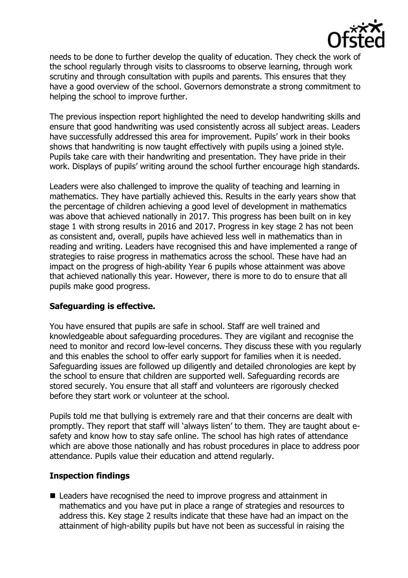

needs to be done to further develop the quality of education. They check the work of the school regularly through visits to classrooms to observe learning, through work scrutiny and through consultation with pupils and parents. This ensures that they have a good overview of the school. Governors demonstrate a strong commitment to helping the school to improve further.

The previous inspection report highlighted the need to develop handwriting skills and ensure that good handwriting was used consistently across all subject areas. Leaders have successfully addressed this area for improvement. Pupils' work in their books shows that handwriting is now taught effectively with pupils using a joined style. Pupils take care with their handwriting and presentation. They have pride in their work. Displays of pupils' writing around the school further encourage high standards.

Leaders were also challenged to improve the quality of teaching and learning in mathematics. They have partially achieved this. Results in the early years show that the percentage of children achieving a good level of development in mathematics was above that achieved nationally in 2017. This progress has been built on in key stage 1 with strong results in 2016 and 2017. Progress in key stage 2 has not been as consistent and, overall, pupils have achieved less well in mathematics than in reading and writing. Leaders have recognised this and have implemented a range of strategies to raise progress in mathematics across the school. These have had an impact on the progress of high-ability Year 6 pupils whose attainment was above that achieved nationally this year. However, there is more to do to ensure that all pupils make good progress.

# **Safeguarding is effective.**

You have ensured that pupils are safe in school. Staff are well trained and knowledgeable about safeguarding procedures. They are vigilant and recognise the need to monitor and record low-level concerns. They discuss these with you regularly and this enables the school to offer early support for families when it is needed. Safeguarding issues are followed up diligently and detailed chronologies are kept by the school to ensure that children are supported well. Safeguarding records are stored securely. You ensure that all staff and volunteers are rigorously checked before they start work or volunteer at the school.

Pupils told me that bullying is extremely rare and that their concerns are dealt with promptly. They report that staff will 'always listen' to them. They are taught about esafety and know how to stay safe online. The school has high rates of attendance which are above those nationally and has robust procedures in place to address poor attendance. Pupils value their education and attend regularly.

# **Inspection findings**

■ Leaders have recognised the need to improve progress and attainment in mathematics and you have put in place a range of strategies and resources to address this. Key stage 2 results indicate that these have had an impact on the attainment of high-ability pupils but have not been as successful in raising the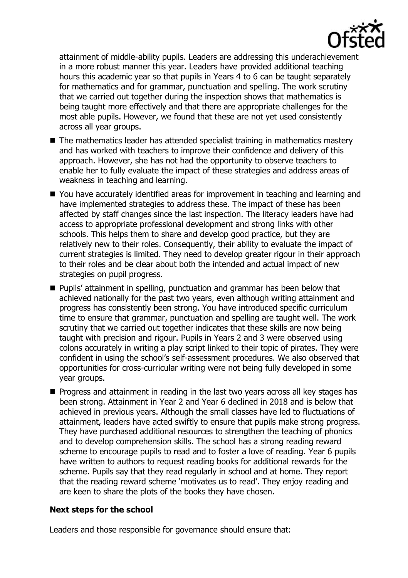

attainment of middle-ability pupils. Leaders are addressing this underachievement in a more robust manner this year. Leaders have provided additional teaching hours this academic year so that pupils in Years 4 to 6 can be taught separately for mathematics and for grammar, punctuation and spelling. The work scrutiny that we carried out together during the inspection shows that mathematics is being taught more effectively and that there are appropriate challenges for the most able pupils. However, we found that these are not yet used consistently across all year groups.

- The mathematics leader has attended specialist training in mathematics mastery and has worked with teachers to improve their confidence and delivery of this approach. However, she has not had the opportunity to observe teachers to enable her to fully evaluate the impact of these strategies and address areas of weakness in teaching and learning.
- You have accurately identified areas for improvement in teaching and learning and have implemented strategies to address these. The impact of these has been affected by staff changes since the last inspection. The literacy leaders have had access to appropriate professional development and strong links with other schools. This helps them to share and develop good practice, but they are relatively new to their roles. Consequently, their ability to evaluate the impact of current strategies is limited. They need to develop greater rigour in their approach to their roles and be clear about both the intended and actual impact of new strategies on pupil progress.
- **Pupils' attainment in spelling, punctuation and grammar has been below that** achieved nationally for the past two years, even although writing attainment and progress has consistently been strong. You have introduced specific curriculum time to ensure that grammar, punctuation and spelling are taught well. The work scrutiny that we carried out together indicates that these skills are now being taught with precision and rigour. Pupils in Years 2 and 3 were observed using colons accurately in writing a play script linked to their topic of pirates. They were confident in using the school's self-assessment procedures. We also observed that opportunities for cross-curricular writing were not being fully developed in some year groups.
- **Progress and attainment in reading in the last two years across all key stages has** been strong. Attainment in Year 2 and Year 6 declined in 2018 and is below that achieved in previous years. Although the small classes have led to fluctuations of attainment, leaders have acted swiftly to ensure that pupils make strong progress. They have purchased additional resources to strengthen the teaching of phonics and to develop comprehension skills. The school has a strong reading reward scheme to encourage pupils to read and to foster a love of reading. Year 6 pupils have written to authors to request reading books for additional rewards for the scheme. Pupils say that they read regularly in school and at home. They report that the reading reward scheme 'motivates us to read'. They enjoy reading and are keen to share the plots of the books they have chosen.

# **Next steps for the school**

Leaders and those responsible for governance should ensure that: